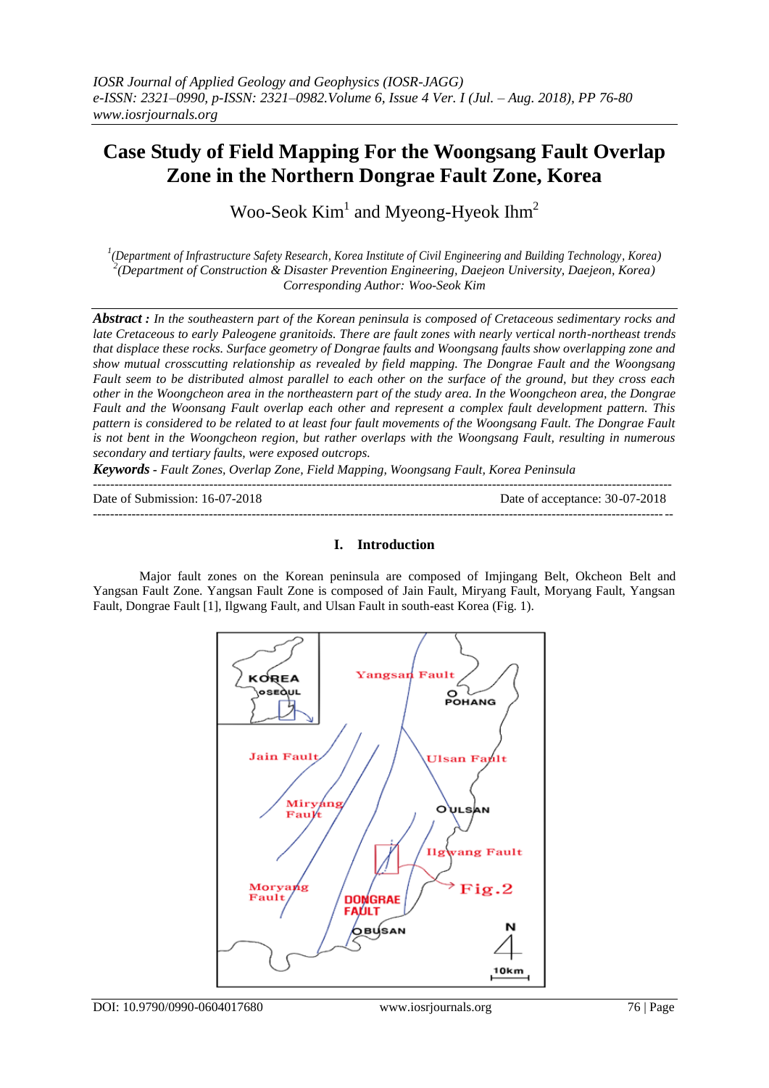# **Case Study of Field Mapping For the Woongsang Fault Overlap Zone in the Northern Dongrae Fault Zone, Korea**

Woo-Seok  $Kim<sup>1</sup>$  and Myeong-Hyeok Ihm<sup>2</sup>

*1 (Department of Infrastructure Safety Research, Korea Institute of Civil Engineering and Building Technology, Korea) 2 (Department of Construction & Disaster Prevention Engineering, Daejeon University, Daejeon, Korea) Corresponding Author: Woo-Seok Kim*

*Abstract : In the southeastern part of the Korean peninsula is composed of Cretaceous sedimentary rocks and late Cretaceous to early Paleogene granitoids. There are fault zones with nearly vertical north-northeast trends that displace these rocks. Surface geometry of Dongrae faults and Woongsang faults show overlapping zone and show mutual crosscutting relationship as revealed by field mapping. The Dongrae Fault and the Woongsang Fault seem to be distributed almost parallel to each other on the surface of the ground, but they cross each other in the Woongcheon area in the northeastern part of the study area. In the Woongcheon area, the Dongrae Fault and the Woonsang Fault overlap each other and represent a complex fault development pattern. This pattern is considered to be related to at least four fault movements of the Woongsang Fault. The Dongrae Fault is not bent in the Woongcheon region, but rather overlaps with the Woongsang Fault, resulting in numerous secondary and tertiary faults, were exposed outcrops.*

*Keywords - Fault Zones, Overlap Zone, Field Mapping, Woongsang Fault, Korea Peninsula*

*---------------------------------------------------------------------------------------------------------------------------------------* Date of Submission: 16-07-2018 Date of acceptance: 30-07-2018

#### **I. Introduction**

Major fault zones on the Korean peninsula are composed of Imjingang Belt, Okcheon Belt and Yangsan Fault Zone. Yangsan Fault Zone is composed of Jain Fault, Miryang Fault, Moryang Fault, Yangsan Fault, Dongrae Fault [1], Ilgwang Fault, and Ulsan Fault in south-east Korea (Fig. 1).

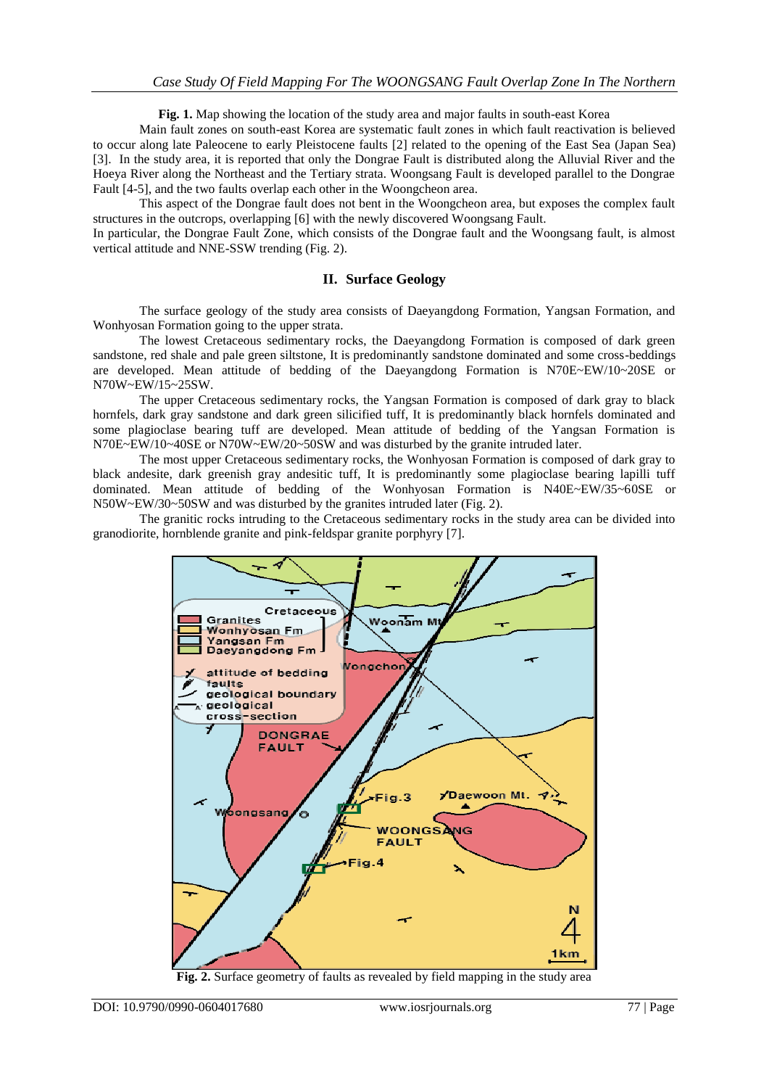**Fig. 1.** Map showing the location of the study area and major faults in south-east Korea

Main fault zones on south-east Korea are systematic fault zones in which fault reactivation is believed to occur along late Paleocene to early Pleistocene faults [2] related to the opening of the East Sea (Japan Sea) [3]. In the study area, it is reported that only the Dongrae Fault is distributed along the Alluvial River and the Hoeya River along the Northeast and the Tertiary strata. Woongsang Fault is developed parallel to the Dongrae Fault [4-5], and the two faults overlap each other in the Woongcheon area.

This aspect of the Dongrae fault does not bent in the Woongcheon area, but exposes the complex fault structures in the outcrops, overlapping [6] with the newly discovered Woongsang Fault.

In particular, the Dongrae Fault Zone, which consists of the Dongrae fault and the Woongsang fault, is almost vertical attitude and NNE-SSW trending (Fig. 2).

#### **II. Surface Geology**

The surface geology of the study area consists of Daeyangdong Formation, Yangsan Formation, and Wonhyosan Formation going to the upper strata.

The lowest Cretaceous sedimentary rocks, the Daeyangdong Formation is composed of dark green sandstone, red shale and pale green siltstone, It is predominantly sandstone dominated and some cross-beddings are developed. Mean attitude of bedding of the Daeyangdong Formation is N70E~EW/10~20SE or N70W~EW/15~25SW.

The upper Cretaceous sedimentary rocks, the Yangsan Formation is composed of dark gray to black hornfels, dark gray sandstone and dark green silicified tuff, It is predominantly black hornfels dominated and some plagioclase bearing tuff are developed. Mean attitude of bedding of the Yangsan Formation is N70E~EW/10~40SE or N70W~EW/20~50SW and was disturbed by the granite intruded later.

The most upper Cretaceous sedimentary rocks, the Wonhyosan Formation is composed of dark gray to black andesite, dark greenish gray andesitic tuff, It is predominantly some plagioclase bearing lapilli tuff dominated. Mean attitude of bedding of the Wonhyosan Formation is N40E~EW/35~60SE or N50W~EW/30~50SW and was disturbed by the granites intruded later (Fig. 2).

The granitic rocks intruding to the Cretaceous sedimentary rocks in the study area can be divided into granodiorite, hornblende granite and pink-feldspar granite porphyry [7].



**Fig. 2.** Surface geometry of faults as revealed by field mapping in the study area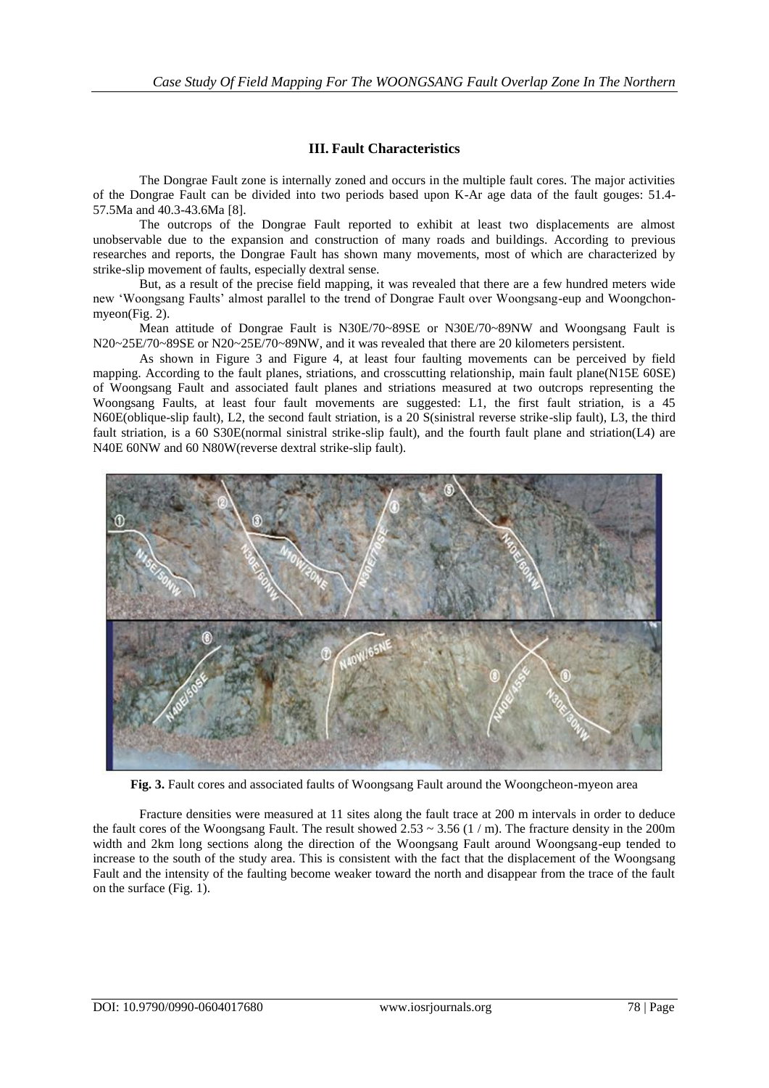### **III. Fault Characteristics**

The Dongrae Fault zone is internally zoned and occurs in the multiple fault cores. The major activities of the Dongrae Fault can be divided into two periods based upon K-Ar age data of the fault gouges: 51.4- 57.5Ma and 40.3-43.6Ma [8].

The outcrops of the Dongrae Fault reported to exhibit at least two displacements are almost unobservable due to the expansion and construction of many roads and buildings. According to previous researches and reports, the Dongrae Fault has shown many movements, most of which are characterized by strike-slip movement of faults, especially dextral sense.

But, as a result of the precise field mapping, it was revealed that there are a few hundred meters wide new 'Woongsang Faults' almost parallel to the trend of Dongrae Fault over Woongsang-eup and Woongchonmyeon(Fig. 2).

Mean attitude of Dongrae Fault is N30E/70~89SE or N30E/70~89NW and Woongsang Fault is N20~25E/70~89SE or N20~25E/70~89NW, and it was revealed that there are 20 kilometers persistent.

As shown in Figure 3 and Figure 4, at least four faulting movements can be perceived by field mapping. According to the fault planes, striations, and crosscutting relationship, main fault plane(N15E 60SE) of Woongsang Fault and associated fault planes and striations measured at two outcrops representing the Woongsang Faults, at least four fault movements are suggested: L1, the first fault striation, is a 45 N60E(oblique-slip fault), L2, the second fault striation, is a 20 S(sinistral reverse strike-slip fault), L3, the third fault striation, is a 60 S30E(normal sinistral strike-slip fault), and the fourth fault plane and striation(L4) are N40E 60NW and 60 N80W(reverse dextral strike-slip fault).



**Fig. 3.** Fault cores and associated faults of Woongsang Fault around the Woongcheon-myeon area

Fracture densities were measured at 11 sites along the fault trace at 200 m intervals in order to deduce the fault cores of the Woongsang Fault. The result showed  $2.53 \sim 3.56$  (1 / m). The fracture density in the 200m width and 2km long sections along the direction of the Woongsang Fault around Woongsang-eup tended to increase to the south of the study area. This is consistent with the fact that the displacement of the Woongsang Fault and the intensity of the faulting become weaker toward the north and disappear from the trace of the fault on the surface (Fig. 1).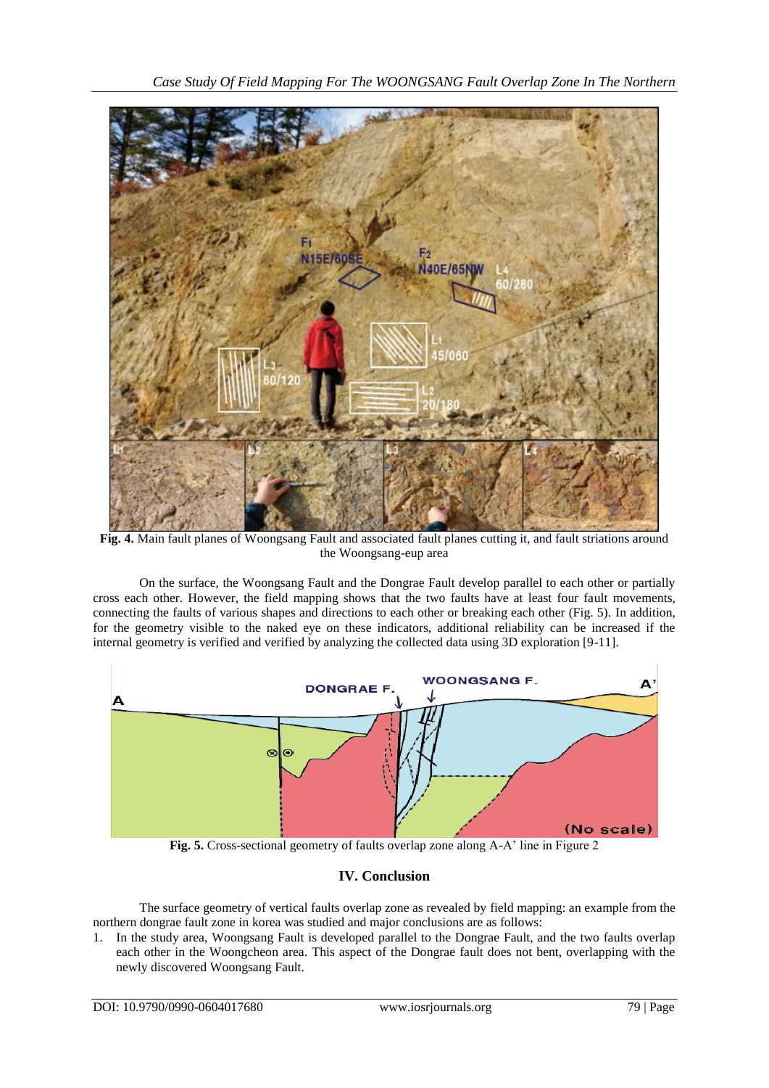

**Fig. 4.** Main fault planes of Woongsang Fault and associated fault planes cutting it, and fault striations around the Woongsang-eup area

On the surface, the Woongsang Fault and the Dongrae Fault develop parallel to each other or partially cross each other. However, the field mapping shows that the two faults have at least four fault movements, connecting the faults of various shapes and directions to each other or breaking each other (Fig. 5). In addition, for the geometry visible to the naked eye on these indicators, additional reliability can be increased if the internal geometry is verified and verified by analyzing the collected data using 3D exploration [9-11].



**Fig. 5.** Cross-sectional geometry of faults overlap zone along A-A' line in Figure 2

## **IV. Conclusion**

The surface geometry of vertical faults overlap zone as revealed by field mapping: an example from the northern dongrae fault zone in korea was studied and major conclusions are as follows:

1. In the study area, Woongsang Fault is developed parallel to the Dongrae Fault, and the two faults overlap each other in the Woongcheon area. This aspect of the Dongrae fault does not bent, overlapping with the newly discovered Woongsang Fault.